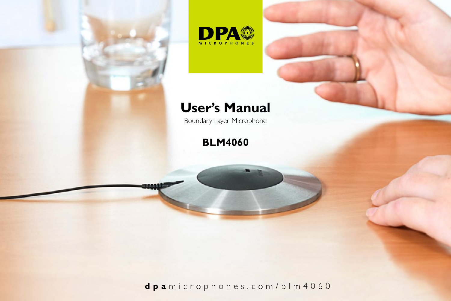



# **User's Manual**

Boundary Layer Microphone

# **BLM4060**

**dpa** microphones.com/blm4060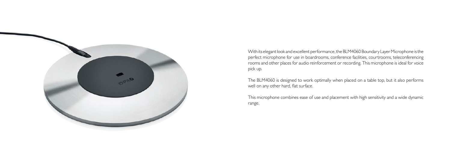

With its elegant look and excellent performance, the BLM4060 Boundary Layer Microphone is the perfect microphone for use in boardrooms, conference facilities, courtrooms, teleconferencing rooms and other places for audio reinforcement or recording. This microphone is ideal for voice pick up.

The BLM4060 is designed to work optimally when placed on a table top, but it also performs well on any other hard, flat surface.

This microphone combines ease of use and placement with high sensitivity and a wide dynamic range.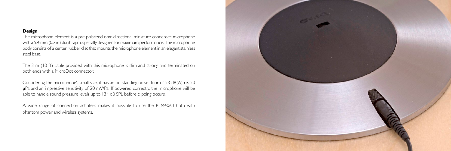# **Design**

The microphone element is a pre-polarized omnidirectional miniature condenser microphone with a 5.4 mm (0.2 in) diaphragm, specially designed for maximum performance. The microphone body consists of a center rubber disc that mounts the microphone element in an elegant stainless steel base.

The 3 m (10 ft) cable provided with this microphone is slim and strong and terminated on both ends with a MicroDot connector.

Considering the microphone's small size, it has an outstanding noise floor of 23 dB(A) re. 20 µPa and an impressive sensitivity of 20 mV/Pa. If powered correctly, the microphone will be able to handle sound pressure levels up to 134 dB SPL before clipping occurs.

A wide range of connection adapters makes it possible to use the BLM4060 both with phantom power and wireless systems.

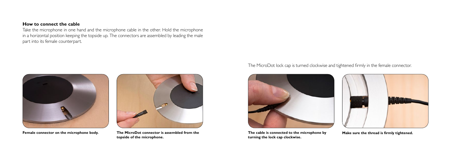## **How to connect the cable**

Take the microphone in one hand and the microphone cable in the other. Hold the microphone in a horizontal position keeping the topside up. The connectors are assembled by leading the male part into its female counterpart.



**Female connector on the microphone body. The MicroDot connector is assembled from the topside of the microphone.**

The MicroDot lock cap is turned clockwise and tightened firmly in the female connector.



**The cable is connected to the microphone by turning the lock cap clockwise.**



**Make sure the thread is firmly tightened.**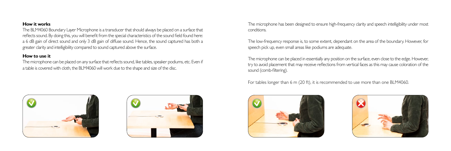# **How it works**

The BLM4060 Boundary Layer Microphone is a transducer that should always be placed on a surface that reflects sound. By doing this, you will benefit from the special characteristics of the sound field found here: a 6 dB gain of direct sound and only 3 dB gain of diffuse sound. Hence, the sound captured has both a greater clarity and intelligibility compared to sound captured above the surface.

## **How to use it**

The microphone can be placed on any surface that reflects sound, like tables, speaker podiums, etc. Even if a table is covered with cloth, the BLM4060 will work due to the shape and size of the disc.





The microphone has been designed to ensure high-frequency clarity and speech intelligibility under most conditions.

The low-frequency response is, to some extent, dependant on the area of the boundary. However, for speech pick up, even small areas like podiums are adequate.

The microphone can be placed in essentially any position on the surface, even close to the edge. However, try to avoid placement that may receive reflections from vertical faces as this may cause coloration of the sound (comb-filtering).

For tables longer than 6 m (20 ft), it is recommended to use more than one BLM4060.



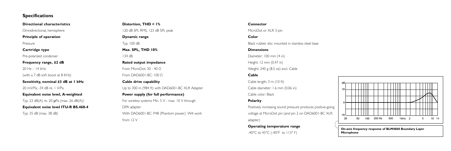# **Specifications**

**Directional characteristics**

Omnidirectional, hemisphere

**Principle of operation** 

Pressure

**Cartridge type** 

Pre-polarized condenser

**Frequency range, ±2 dB** 

 $20 Hz - 14 kHz$ 

(with a 7 dB soft boost at 8 KHz)

**Sensitivity, nominal ±3 dB at 1 kHz**

20 mV/Pa; -34 dB re. 1 V/Pa

**Equivalent noise level, A-weighted**

Typ. 23 dB(A) re. 20 µPa (max. 26 dB(A)) **Equivalent noise level ITU-R BS.468-4** Typ. 35 dB (max. 38 dB)

**Distortion, THD < 1%**

120 dB SPL RMS, 123 dB SPL peak

#### **Dynamic range**

Typ. 100 dB

### **Max. SPL, THD 10%**

134 dB

#### **Rated output impedance**

From MicroDot: 30 - 40 Ω From DAD6001-BC: 100 Ω

# **Cable drive capability**

Up to 300 m (984 ft) with DAD6001-BC XLR Adapter

## **Power supply (for full performance)**

For wireless systems Min. 5 V - max. 10 V through DPA adapter

With DAD6001-BC: P48 (Phantom power). Will work from 12 V

#### **Connector**

MicroDot or XLR 3-pin

#### **Color**

Black rubber disc mounted in stainless steel base

#### **Dimensions**

Diameter: 100 mm (4 in) Height: 12 mm (0.47 in) Weight: 240 g (8.5 oz) excl. Cable

# **Cable**

Cable length: 3 m (10 ft) Cable diameter: 1.6 mm (0.06 in) Cable color: Black

## **Polarity**

Positively increasing sound pressure produces positive-going voltage at MicroDot pin (and pin 2 on DAD6001-BC XLR adapter)

## **Operating temperature range**

-40°C to 45°C (-40°F to 113° F)



**On-axis frequency response of BLM4060 Boundary Layer Microphone**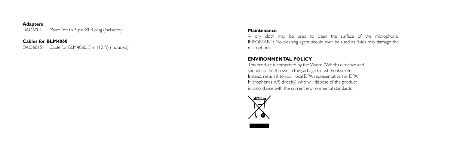# **Adapters**

DAD6001 MicroDot to 3-pin XLR plug (included)

# **Cables for BLM4060**

DAO6015 Cable for BLM4060, 3 m (10 ft) (included)

# **Maintenance**

A dry cloth may be used to clean the surface of the microphone. IMPORTANT: No cleaning agent should ever be used as fluids may damage the microphone.

# **ENVIRONMENTAL POLICY**

This product is comprised by the Waste (WEEE) directive and should not be thrown in the garbage bin when obsolete. Instead, return it to your local DPA representative (or DPA Microphones A/S directly) who will dispose of the product in accordance with the current environmental standards.



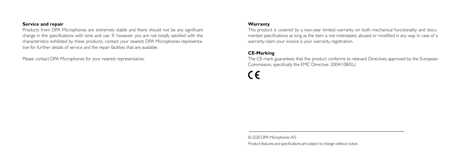# **Service and repair**

Products from DPA Microphones are extremely stable and there should not be any significant change in the specifications with time and use. If, however, you are not totally satisfied with the characteristics exhibited by these products, contact your nearest DPA Microphones representative for further details of service and the repair facilities that are available.

Please contact DPA Microphones for your nearest representative:

# **Warranty**

This product is covered by a two-year limited warranty on both mechanical functionality and documented specifications as long as the item is not mistreated, abused or modified in any way. In case of a warranty claim your invoice is your warranty registration.

# **CE-Marking**

The CE-mark guarantees that the product conforms to relevant Directives approved by the European Commission, specifically the EMC Directive: 2004/108/EU.

© 2020 DPA Microphones A/S Product features and specifications are subject to change without notice.